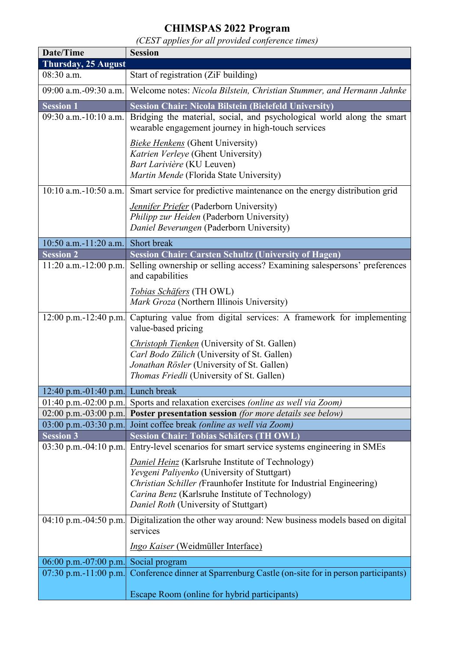## **CHIMSPAS 2022 Program**

*(CEST applies for all provided conference times)*

| Date/Time                            | <b>Session</b>                                                                                                                                                                                                                                                             |
|--------------------------------------|----------------------------------------------------------------------------------------------------------------------------------------------------------------------------------------------------------------------------------------------------------------------------|
| <b>Thursday, 25 August</b>           |                                                                                                                                                                                                                                                                            |
| 08:30 a.m.                           | Start of registration (ZiF building)                                                                                                                                                                                                                                       |
| 09:00 a.m.-09:30 a.m.                | Welcome notes: Nicola Bilstein, Christian Stummer, and Hermann Jahnke                                                                                                                                                                                                      |
| <b>Session 1</b>                     | <b>Session Chair: Nicola Bilstein (Bielefeld University)</b>                                                                                                                                                                                                               |
| 09:30 a.m.-10:10 a.m.                | Bridging the material, social, and psychological world along the smart<br>wearable engagement journey in high-touch services                                                                                                                                               |
|                                      | Bieke Henkens (Ghent University)<br>Katrien Verleye (Ghent University)<br>Bart Larivière (KU Leuven)<br>Martin Mende (Florida State University)                                                                                                                            |
| 10:10 a.m.-10:50 a.m.                | Smart service for predictive maintenance on the energy distribution grid                                                                                                                                                                                                   |
|                                      | <b>Jennifer Priefer</b> (Paderborn University)<br>Philipp zur Heiden (Paderborn University)<br>Daniel Beverungen (Paderborn University)                                                                                                                                    |
| 10:50 a.m.-11:20 a.m.                | Short break                                                                                                                                                                                                                                                                |
| <b>Session 2</b>                     | <b>Session Chair: Carsten Schultz (University of Hagen)</b>                                                                                                                                                                                                                |
| 11:20 a.m.-12:00 p.m.                | Selling ownership or selling access? Examining salespersons' preferences<br>and capabilities                                                                                                                                                                               |
|                                      | Tobias Schäfers (TH OWL)<br>Mark Groza (Northern Illinois University)                                                                                                                                                                                                      |
| $12:00$ p.m.-12:40 p.m.              | Capturing value from digital services: A framework for implementing<br>value-based pricing                                                                                                                                                                                 |
|                                      | <b>Christoph Tienken</b> (University of St. Gallen)<br>Carl Bodo Zülich (University of St. Gallen)<br>Jonathan Rösler (University of St. Gallen)<br>Thomas Friedli (University of St. Gallen)                                                                              |
| 12:40 p.m.-01:40 p.m. Lunch break    |                                                                                                                                                                                                                                                                            |
|                                      | 01:40 p.m.-02:00 p.m. Sports and relaxation exercises (online as well via Zoom)                                                                                                                                                                                            |
| 02:00 p.m.-03:00 p.m.                | <b>Poster presentation session</b> (for more details see below)                                                                                                                                                                                                            |
| $03:00$ p.m.- $03:30$ p.m.           | Joint coffee break (online as well via Zoom)                                                                                                                                                                                                                               |
| <b>Session 3</b>                     | <b>Session Chair: Tobias Schäfers (TH OWL)</b>                                                                                                                                                                                                                             |
| 03:30 p.m.-04:10 p.m.                | Entry-level scenarios for smart service systems engineering in SMEs                                                                                                                                                                                                        |
|                                      | <b>Daniel Heinz</b> (Karlsruhe Institute of Technology)<br>Yevgeni Paliyenko (University of Stuttgart)<br>Christian Schiller (Fraunhofer Institute for Industrial Engineering)<br>Carina Benz (Karlsruhe Institute of Technology)<br>Daniel Roth (University of Stuttgart) |
| 04:10 p.m.-04:50 p.m.                | Digitalization the other way around: New business models based on digital<br>services                                                                                                                                                                                      |
|                                      | Ingo Kaiser (Weidmüller Interface)                                                                                                                                                                                                                                         |
| 06:00 p.m.-07:00 p.m. Social program |                                                                                                                                                                                                                                                                            |
| 07:30 p.m.-11:00 p.m.                | Conference dinner at Sparrenburg Castle (on-site for in person participants)                                                                                                                                                                                               |
|                                      | Escape Room (online for hybrid participants)                                                                                                                                                                                                                               |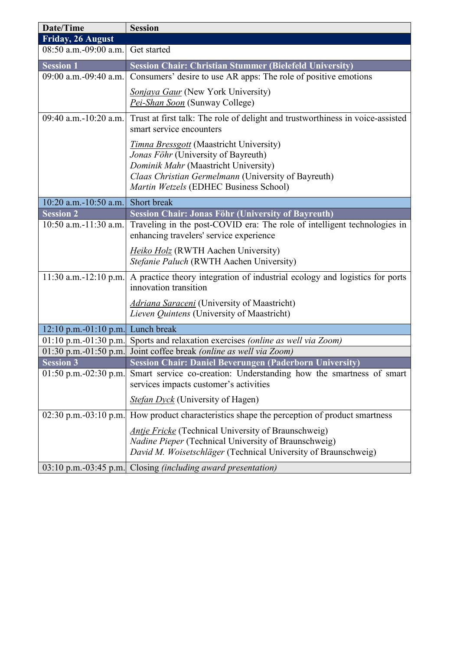| Date/Time                         | <b>Session</b>                                                                                                                                                                                                                 |
|-----------------------------------|--------------------------------------------------------------------------------------------------------------------------------------------------------------------------------------------------------------------------------|
| Friday, 26 August                 |                                                                                                                                                                                                                                |
| 08:50 a.m.-09:00 a.m.             | Get started                                                                                                                                                                                                                    |
| <b>Session 1</b>                  | <b>Session Chair: Christian Stummer (Bielefeld University)</b>                                                                                                                                                                 |
| 09:00 a.m.-09:40 a.m.             | Consumers' desire to use AR apps: The role of positive emotions                                                                                                                                                                |
|                                   | <b>Sonjaya Gaur</b> (New York University)<br>Pei-Shan Soon (Sunway College)                                                                                                                                                    |
| 09:40 a.m.-10:20 a.m.             | Trust at first talk: The role of delight and trustworthiness in voice-assisted<br>smart service encounters                                                                                                                     |
|                                   | <b>Timna Bressgott</b> (Maastricht University)<br>Jonas Föhr (University of Bayreuth)<br>Dominik Mahr (Maastricht University)<br>Claas Christian Germelmann (University of Bayreuth)<br>Martin Wetzels (EDHEC Business School) |
| 10:20 a.m.-10:50 a.m. Short break |                                                                                                                                                                                                                                |
| <b>Session 2</b>                  | <b>Session Chair: Jonas Föhr (University of Bayreuth)</b>                                                                                                                                                                      |
| $10:50$ a.m.-11:30 a.m.           | Traveling in the post-COVID era: The role of intelligent technologies in<br>enhancing travelers' service experience                                                                                                            |
|                                   | Heiko Holz (RWTH Aachen University)<br>Stefanie Paluch (RWTH Aachen University)                                                                                                                                                |
| 11:30 a.m.-12:10 p.m.             | A practice theory integration of industrial ecology and logistics for ports<br>innovation transition                                                                                                                           |
|                                   | <b>Adriana Saraceni</b> (University of Maastricht)                                                                                                                                                                             |
|                                   | Lieven Quintens (University of Maastricht)                                                                                                                                                                                     |
| 12:10 p.m.-01:10 p.m. Lunch break |                                                                                                                                                                                                                                |
| 01:10 p.m.-01:30 p.m.             | Sports and relaxation exercises (online as well via Zoom)                                                                                                                                                                      |
| 01:30 p.m.-01:50 p.m.             | Joint coffee break (online as well via Zoom)                                                                                                                                                                                   |
| <b>Session 3</b>                  | <b>Session Chair: Daniel Beverungen (Paderborn University)</b>                                                                                                                                                                 |
| $01:50$ p.m.- $02:30$ p.m.        | Smart service co-creation: Understanding how the smartness of smart<br>services impacts customer's activities                                                                                                                  |
|                                   | <b>Stefan Dyck</b> (University of Hagen)                                                                                                                                                                                       |
|                                   | $02:30$ p.m. $-03:10$ p.m. How product characteristics shape the perception of product smartness                                                                                                                               |
|                                   | <b>Antje Fricke</b> (Technical University of Braunschweig)                                                                                                                                                                     |
|                                   | Nadine Pieper (Technical University of Braunschweig)                                                                                                                                                                           |
|                                   | David M. Woisetschläger (Technical University of Braunschweig)                                                                                                                                                                 |
|                                   | 03:10 p.m.-03:45 p.m. Closing (including award presentation)                                                                                                                                                                   |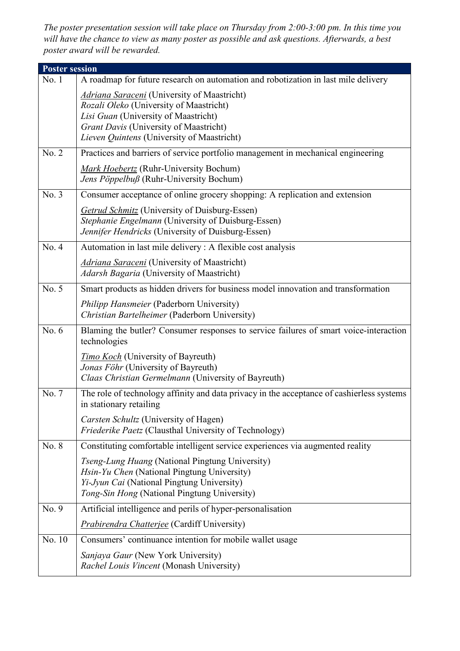*The poster presentation session will take place on Thursday from 2:00-3:00 pm. In this time you will have the chance to view as many poster as possible and ask questions. Afterwards, a best poster award will be rewarded.*

| <b>Poster session</b> |                                                                                                                                                                                                                               |
|-----------------------|-------------------------------------------------------------------------------------------------------------------------------------------------------------------------------------------------------------------------------|
| No.1                  | A roadmap for future research on automation and robotization in last mile delivery                                                                                                                                            |
|                       | <b>Adriana Saraceni</b> (University of Maastricht)<br>Rozali Oleko (University of Maastricht)<br>Lisi Guan (University of Maastricht)<br>Grant Davis (University of Maastricht)<br>Lieven Quintens (University of Maastricht) |
| No. 2                 | Practices and barriers of service portfolio management in mechanical engineering                                                                                                                                              |
|                       | Mark Hoebertz (Ruhr-University Bochum)<br>Jens Pöppelbuß (Ruhr-University Bochum)                                                                                                                                             |
| No. 3                 | Consumer acceptance of online grocery shopping: A replication and extension                                                                                                                                                   |
|                       | <b>Getrud Schmitz</b> (University of Duisburg-Essen)<br>Stephanie Engelmann (University of Duisburg-Essen)<br>Jennifer Hendricks (University of Duisburg-Essen)                                                               |
| No. 4                 | Automation in last mile delivery : A flexible cost analysis                                                                                                                                                                   |
|                       | <b>Adriana Saraceni</b> (University of Maastricht)<br>Adarsh Bagaria (University of Maastricht)                                                                                                                               |
| No. 5                 | Smart products as hidden drivers for business model innovation and transformation                                                                                                                                             |
|                       | Philipp Hansmeier (Paderborn University)<br>Christian Bartelheimer (Paderborn University)                                                                                                                                     |
| No. $6$               | Blaming the butler? Consumer responses to service failures of smart voice-interaction<br>technologies                                                                                                                         |
|                       | <b>Timo Koch</b> (University of Bayreuth)<br>Jonas Föhr (University of Bayreuth)<br>Claas Christian Germelmann (University of Bayreuth)                                                                                       |
| No. 7                 | The role of technology affinity and data privacy in the acceptance of cashierless systems<br>in stationary retailing                                                                                                          |
|                       | Carsten Schultz (University of Hagen)<br>Friederike Paetz (Clausthal University of Technology)                                                                                                                                |
| No. 8                 | Constituting comfortable intelligent service experiences via augmented reality                                                                                                                                                |
|                       | <i>Tseng-Lung Huang</i> (National Pingtung University)<br>Hsin-Yu Chen (National Pingtung University)<br>Yi-Jyun Cai (National Pingtung University)<br>Tong-Sin Hong (National Pingtung University)                           |
| No. 9                 | Artificial intelligence and perils of hyper-personalisation                                                                                                                                                                   |
|                       | <b>Prabirendra Chatterjee</b> (Cardiff University)                                                                                                                                                                            |
| No. 10                | Consumers' continuance intention for mobile wallet usage                                                                                                                                                                      |
|                       | Sanjaya Gaur (New York University)<br>Rachel Louis Vincent (Monash University)                                                                                                                                                |